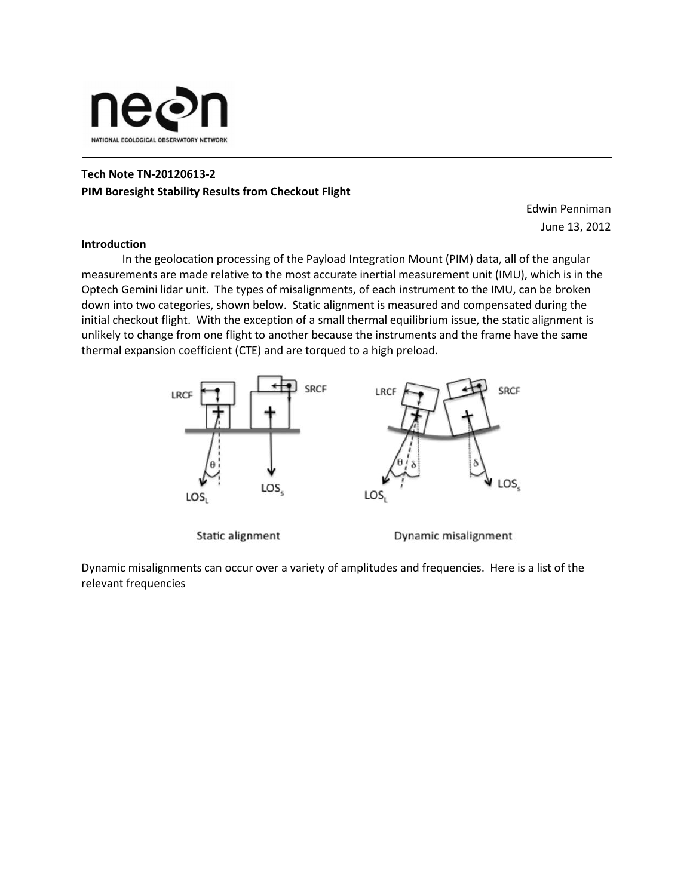

# **Tech Note TN-20120613-2 PIM Boresight Stability Results from Checkout Flight**

Edwin Penniman June 13, 2012

### **Introduction**

In the geolocation processing of the Payload Integration Mount (PIM) data, all of the angular measurements are made relative to the most accurate inertial measurement unit (IMU), which is in the Optech Gemini lidar unit. The types of misalignments, of each instrument to the IMU, can be broken down into two categories, shown below. Static alignment is measured and compensated during the initial checkout flight. With the exception of a small thermal equilibrium issue, the static alignment is unlikely to change from one flight to another because the instruments and the frame have the same thermal expansion coefficient (CTE) and are torqued to a high preload.



Static alignment

Dynamic misalignment

Dynamic misalignments can occur over a variety of amplitudes and frequencies. Here is a list of the relevant frequencies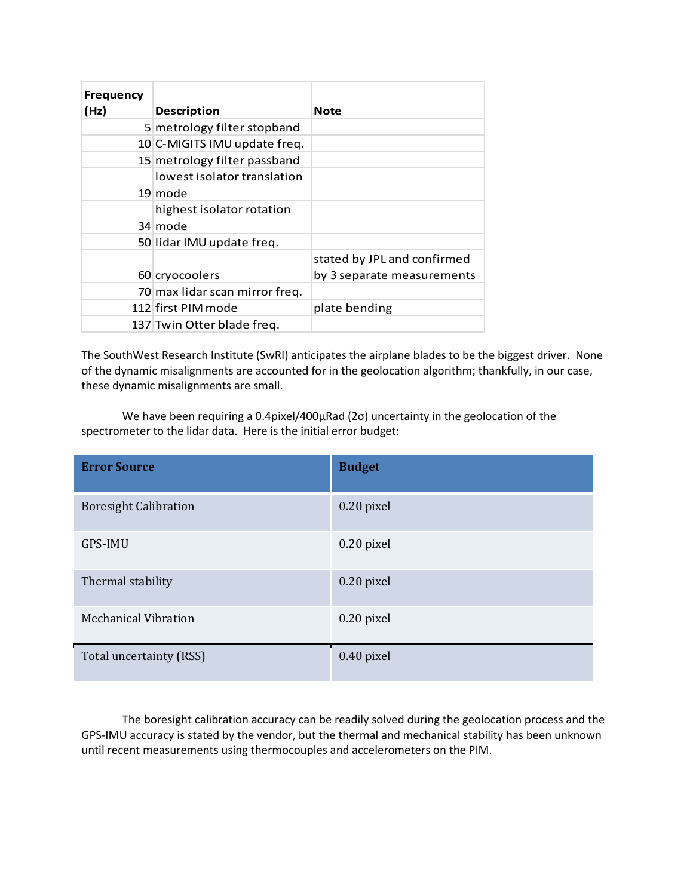| Frequency |                                |                             |
|-----------|--------------------------------|-----------------------------|
| (Hz)      | <b>Description</b>             | <b>Note</b>                 |
|           | 5 metrology filter stopband    |                             |
|           | 10 C-MIGITS IMU update freq.   |                             |
|           | 15 metrology filter passband   |                             |
|           | lowest isolator translation    |                             |
|           | 19 mode                        |                             |
|           | highest isolator rotation      |                             |
|           | 34 mode                        |                             |
|           | 50 lidar IMU update freq.      |                             |
|           |                                | stated by JPL and confirmed |
|           | 60 cryocoolers                 | by 3 separate measurements  |
|           | 70 max lidar scan mirror freq. |                             |
|           | 112 first PIM mode             | plate bending               |
|           | 137 Twin Otter blade freq.     |                             |

The SouthWest Research Institute (SwRI) anticipates the airplane blades to be the biggest driver. None of the dynamic misalignments are accounted for in the geolocation algorithm; thankfully, in our case, these dynamic misalignments are small.

We have been requiring a 0.4pixel/400µRad (2σ) uncertainty in the geolocation of the spectrometer to the lidar data. Here is the initial error budget:

| <b>Error Source</b>          | <b>Budget</b> |
|------------------------------|---------------|
| <b>Boresight Calibration</b> | $0.20$ pixel  |
| GPS-IMU                      | $0.20$ pixel  |
| Thermal stability            | 0.20 pixel    |
| <b>Mechanical Vibration</b>  | $0.20$ pixel  |
| Total uncertainty (RSS)      | 0.40 pixel    |

The boresight calibration accuracy can be readily solved during the geolocation process and the GPS-IMU accuracy is stated by the vendor, but the thermal and mechanical stability has been unknown until recent measurements using thermocouples and accelerometers on the PIM.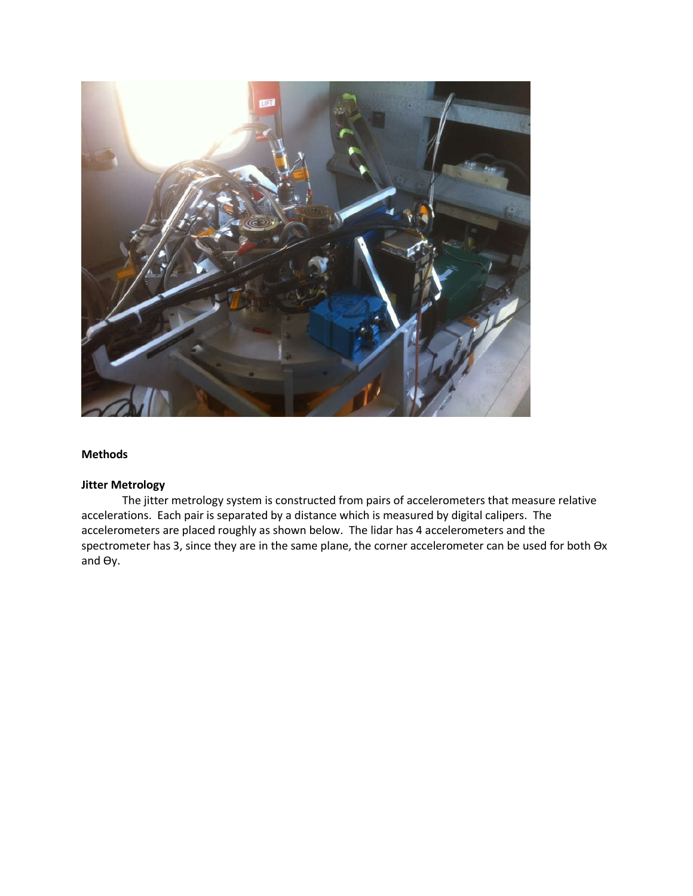

### **Methods**

### **Jitter Metrology**

The jitter metrology system is constructed from pairs of accelerometers that measure relative accelerations. Each pair is separated by a distance which is measured by digital calipers. The accelerometers are placed roughly as shown below. The lidar has 4 accelerometers and the spectrometer has 3, since they are in the same plane, the corner accelerometer can be used for both Ox and  $\Theta$ y.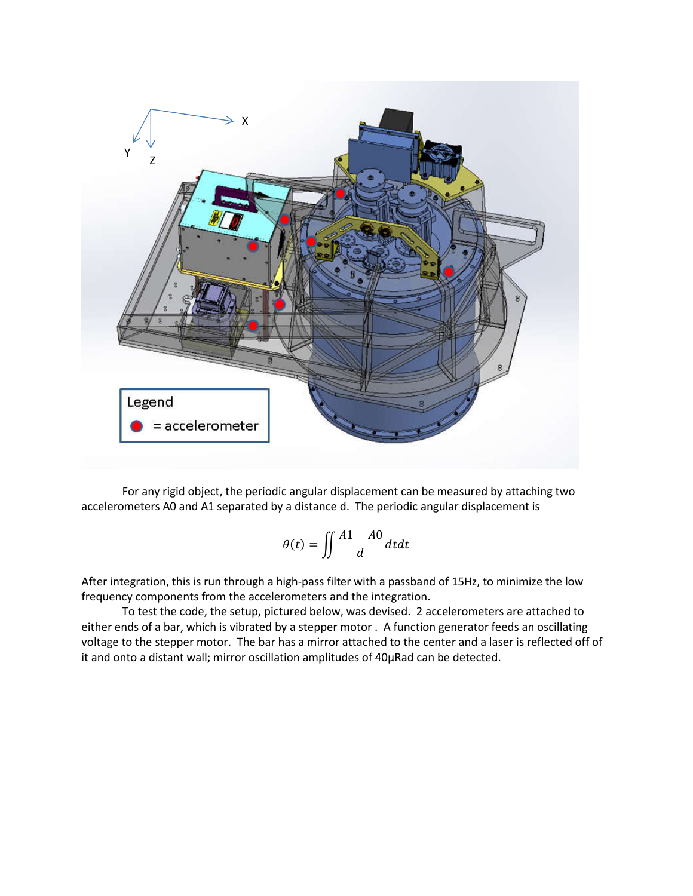

For any rigid object, the periodic angular displacement can be measured by attaching two accelerometers A0 and A1 separated by a distance d. The periodic angular displacement is

$$
\theta(t) = \iint \frac{A1 \ A0}{d} dt dt
$$

After integration, this is run through a high-pass filter with a passband of 15Hz, to minimize the low frequency components from the accelerometers and the integration.

To test the code, the setup, pictured below, was devised. 2 accelerometers are attached to either ends of a bar, which is vibrated by a stepper motor . A function generator feeds an oscillating voltage to the stepper motor. The bar has a mirror attached to the center and a laser is reflected off of it and onto a distant wall; mirror oscillation amplitudes of 40µRad can be detected.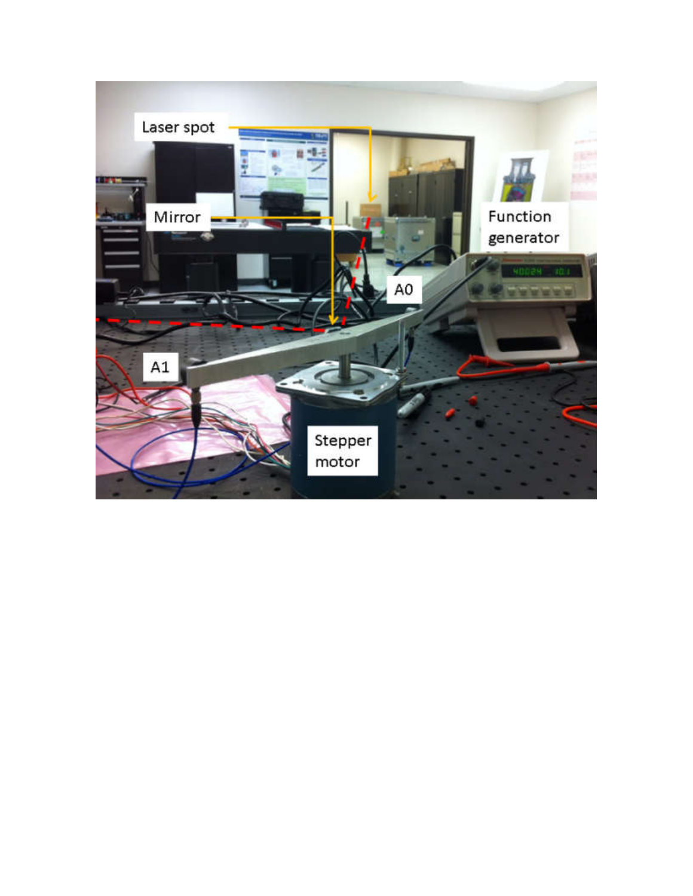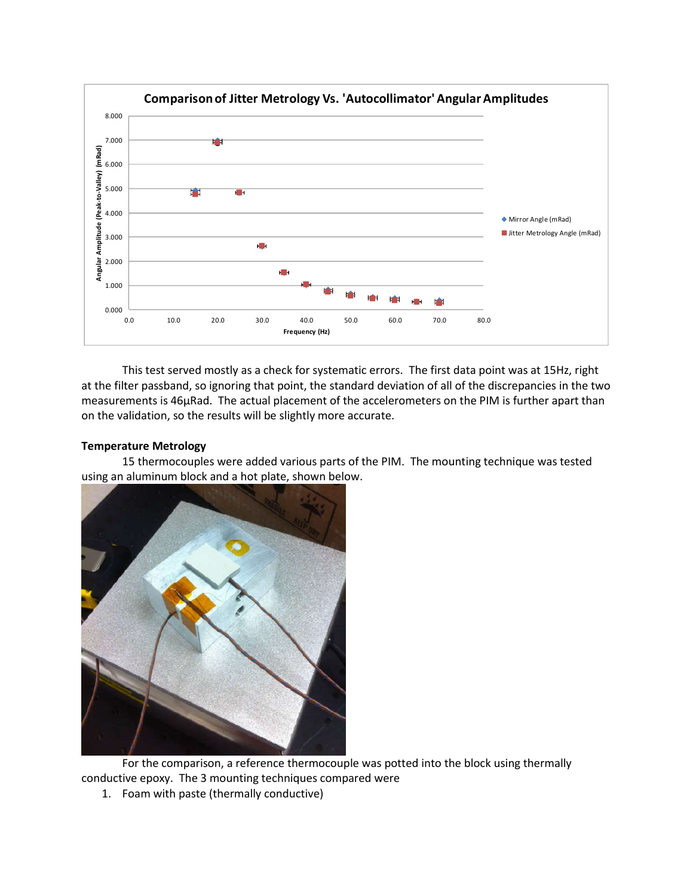

This test served mostly as a check for systematic errors. The first data point was at 15Hz, right at the filter passband, so ignoring that point, the standard deviation of all of the discrepancies in the two measurements is 46µRad. The actual placement of the accelerometers on the PIM is further apart than on the validation, so the results will be slightly more accurate.

## **Temperature Metrology**

15 thermocouples were added various parts of the PIM. The mounting technique was tested using an aluminum block and a hot plate, shown below.



For the comparison, a reference thermocouple was potted into the block using thermally conductive epoxy. The 3 mounting techniques compared were

1. Foam with paste (thermally conductive)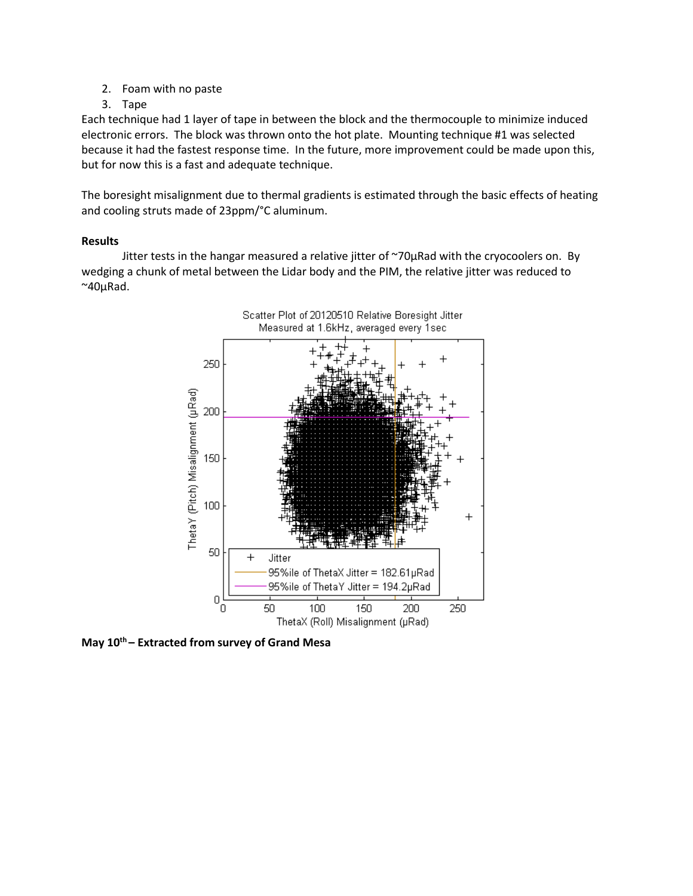- 2. Foam with no paste
- 3. Tape

Each technique had 1 layer of tape in between the block and the thermocouple to minimize induced electronic errors. The block was thrown onto the hot plate. Mounting technique #1 was selected because it had the fastest response time. In the future, more improvement could be made upon this, but for now this is a fast and adequate technique.

The boresight misalignment due to thermal gradients is estimated through the basic effects of heating and cooling struts made of 23ppm/°C aluminum.

## **Results**

Jitter tests in the hangar measured a relative jitter of ~70µRad with the cryocoolers on. By wedging a chunk of metal between the Lidar body and the PIM, the relative jitter was reduced to  $~\sim$ 40µRad.



**May 10th – Extracted from survey of Grand Mesa**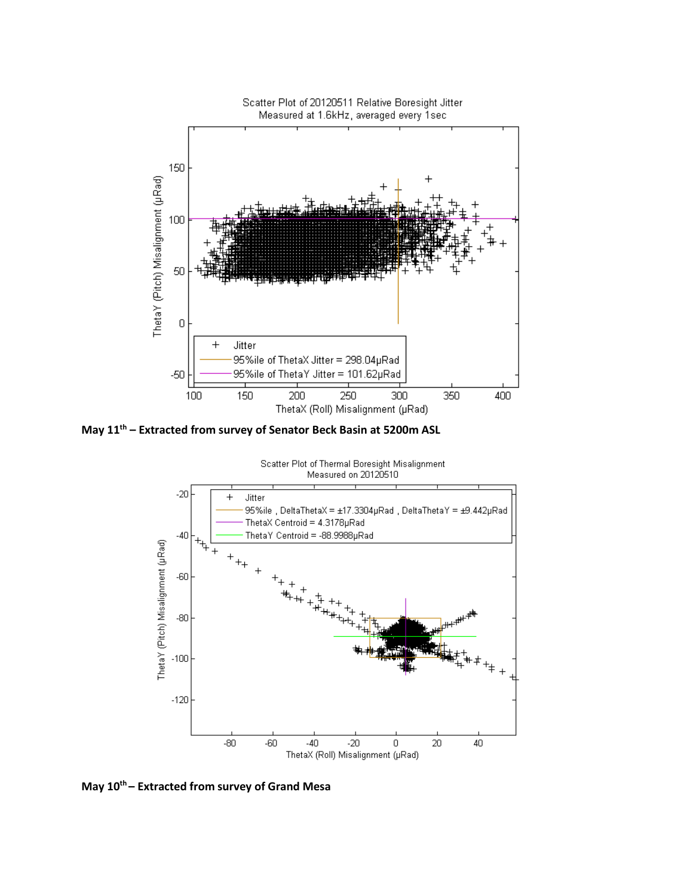

**May 11th – Extracted from survey of Senator Beck Basin at 5200m ASL**



**May 10th – Extracted from survey of Grand Mesa**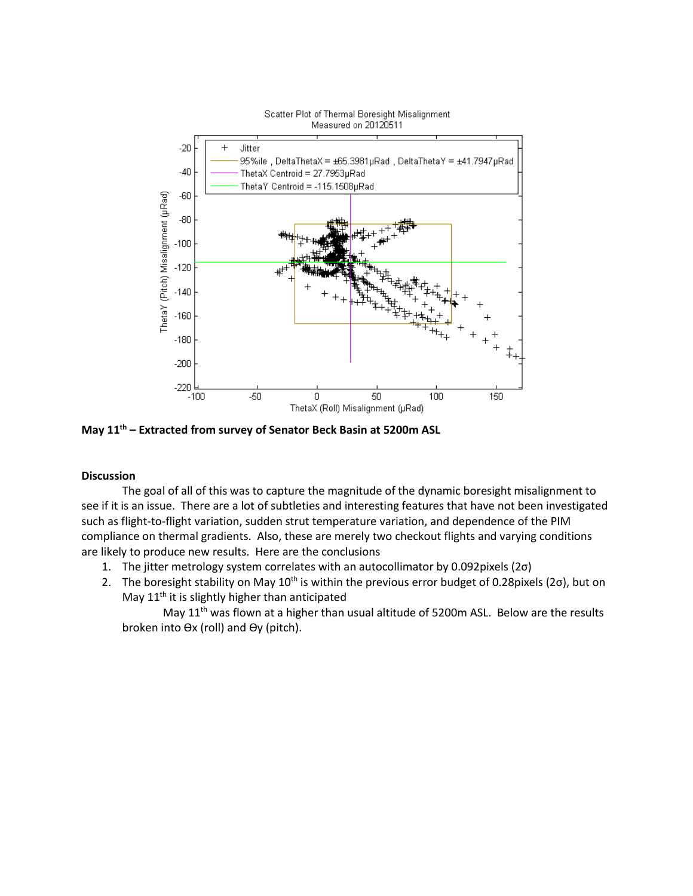

**May 11th – Extracted from survey of Senator Beck Basin at 5200m ASL**

#### **Discussion**

The goal of all of this was to capture the magnitude of the dynamic boresight misalignment to see if it is an issue. There are a lot of subtleties and interesting features that have not been investigated such as flight-to-flight variation, sudden strut temperature variation, and dependence of the PIM compliance on thermal gradients. Also, these are merely two checkout flights and varying conditions are likely to produce new results. Here are the conclusions

- 1. The jitter metrology system correlates with an autocollimator by 0.092pixels (2σ)
- 2. The boresight stability on May  $10^{th}$  is within the previous error budget of 0.28pixels (2 $\sigma$ ), but on May 11<sup>th</sup> it is slightly higher than anticipated

May 11<sup>th</sup> was flown at a higher than usual altitude of 5200m ASL. Below are the results broken into  $\Theta$ x (roll) and  $\Theta$ y (pitch).